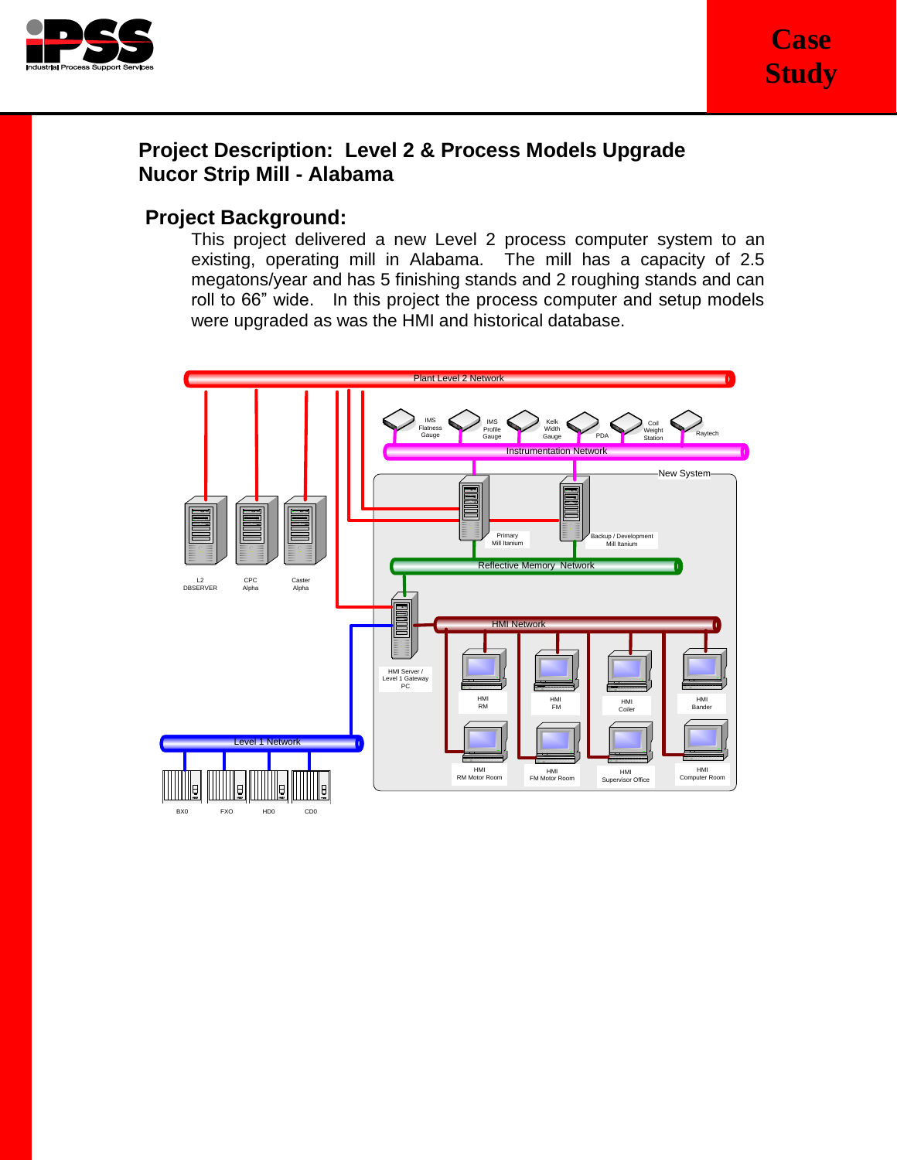

# **Project Description: Level 2 & Process Models Upgrade Nucor Strip Mill - Alabama**

## **Project Background:**

This project delivered a new Level 2 process computer system to an existing, operating mill in Alabama. The mill has a capacity of 2.5 megatons/year and has 5 finishing stands and 2 roughing stands and can roll to 66" wide. In this project the process computer and setup models were upgraded as was the HMI and historical database.